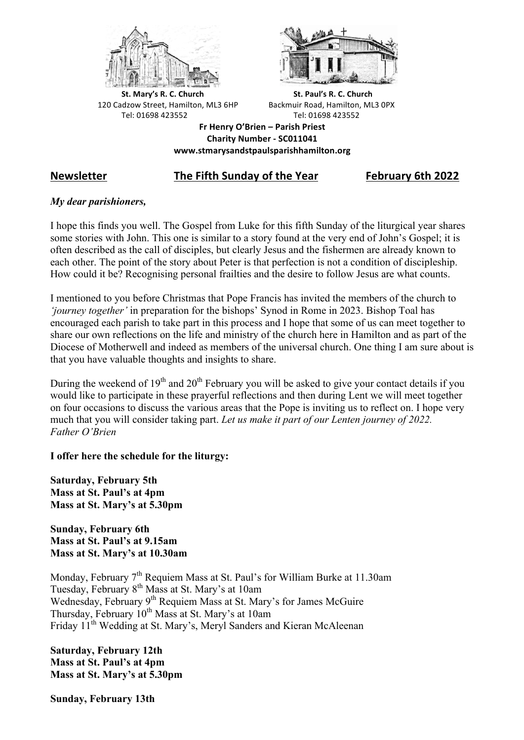



**St.** Mary's R. C. Church St. Paul's R. C. Church 120 Cadzow Street, Hamilton, ML3 6HP Backmuir Road, Hamilton, ML3 0PX Tel: 01698 423552 Tel: 01698 423552

**Fr Henry O'Brien – Parish Priest Charity Number - SC011041 www.stmarysandstpaulsparishhamilton.org**

# **Newsletter The Fifth Sunday of the Year February 6th 2022**

# *My dear parishioners,*

I hope this finds you well. The Gospel from Luke for this fifth Sunday of the liturgical year shares some stories with John. This one is similar to a story found at the very end of John's Gospel; it is often described as the call of disciples, but clearly Jesus and the fishermen are already known to each other. The point of the story about Peter is that perfection is not a condition of discipleship. How could it be? Recognising personal frailties and the desire to follow Jesus are what counts.

I mentioned to you before Christmas that Pope Francis has invited the members of the church to *'journey together'* in preparation for the bishops' Synod in Rome in 2023. Bishop Toal has encouraged each parish to take part in this process and I hope that some of us can meet together to share our own reflections on the life and ministry of the church here in Hamilton and as part of the Diocese of Motherwell and indeed as members of the universal church. One thing I am sure about is that you have valuable thoughts and insights to share.

During the weekend of  $19<sup>th</sup>$  and  $20<sup>th</sup>$  February you will be asked to give your contact details if you would like to participate in these prayerful reflections and then during Lent we will meet together on four occasions to discuss the various areas that the Pope is inviting us to reflect on. I hope very much that you will consider taking part. *Let us make it part of our Lenten journey of 2022. Father O'Brien*

**I offer here the schedule for the liturgy:**

**Saturday, February 5th Mass at St. Paul's at 4pm Mass at St. Mary's at 5.30pm**

**Sunday, February 6th Mass at St. Paul's at 9.15am Mass at St. Mary's at 10.30am**

Monday, February 7<sup>th</sup> Requiem Mass at St. Paul's for William Burke at 11.30am Tuesday, February 8th Mass at St. Mary's at 10am Wednesday, February 9<sup>th</sup> Requiem Mass at St. Mary's for James McGuire Thursday, February  $10^{th}$  Mass at St. Mary's at 10am Friday 11th Wedding at St. Mary's, Meryl Sanders and Kieran McAleenan

**Saturday, February 12th Mass at St. Paul's at 4pm Mass at St. Mary's at 5.30pm**

**Sunday, February 13th**